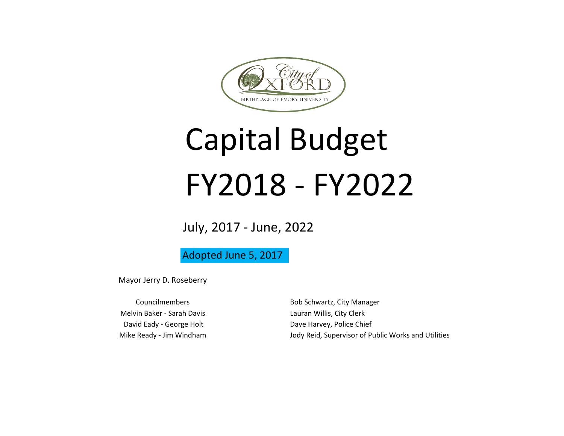

# Capital Budget FY2018 - FY2022

July, 2017 - June, 2022

Adopted June 5, 2017

Mayor Jerry D. Roseberry

Melvin Baker - Sarah Davis **Lauran Willis, City Clerk** David Eady - George Holt **Dave Harvey**, Police Chief

Councilmembers **Bob Schwartz, City Manager** Mike Ready - Jim Windham  $J$ ody Reid, Supervisor of Public Works and Utilities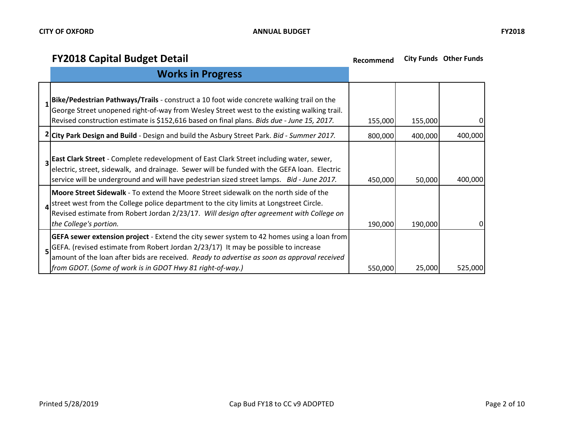| <b>Works in Progress</b>                                                                                                                                                                                                                                                                                                                                         |         |         |          |
|------------------------------------------------------------------------------------------------------------------------------------------------------------------------------------------------------------------------------------------------------------------------------------------------------------------------------------------------------------------|---------|---------|----------|
| Bike/Pedestrian Pathways/Trails - construct a 10 foot wide concrete walking trail on the<br>George Street unopened right-of-way from Wesley Street west to the existing walking trail.<br>Revised construction estimate is \$152,616 based on final plans. Bids due - June 15, 2017.                                                                             | 155,000 | 155,000 | 0        |
| 2 City Park Design and Build - Design and build the Asbury Street Park. Bid - Summer 2017.                                                                                                                                                                                                                                                                       | 800,000 | 400,000 | 400,000  |
| 3 East Clark Street - Complete redevelopment of East Clark Street including water, sewer,<br>electric, street, sidewalk, and drainage. Sewer will be funded with the GEFA loan. Electric<br>service will be underground and will have pedestrian sized street lamps. Bid - June 2017.                                                                            | 450,000 | 50,000  | 400,000  |
| Moore Street Sidewalk - To extend the Moore Street sidewalk on the north side of the<br>street west from the College police department to the city limits at Longstreet Circle.<br>Revised estimate from Robert Jordan 2/23/17. Will design after agreement with College on<br>the College's portion.                                                            | 190,000 | 190,000 | $\Omega$ |
| <b>GEFA sewer extension project</b> - Extend the city sewer system to 42 homes using a loan from<br>5 <sup>GEFA.</sup> (revised estimate from Robert Jordan 2/23/17) It may be possible to increase<br>amount of the loan after bids are received. Ready to advertise as soon as approval received<br>[from GDOT. (Some of work is in GDOT Hwy 81 right-of-way.) | 550,000 | 25,000  | 525,000  |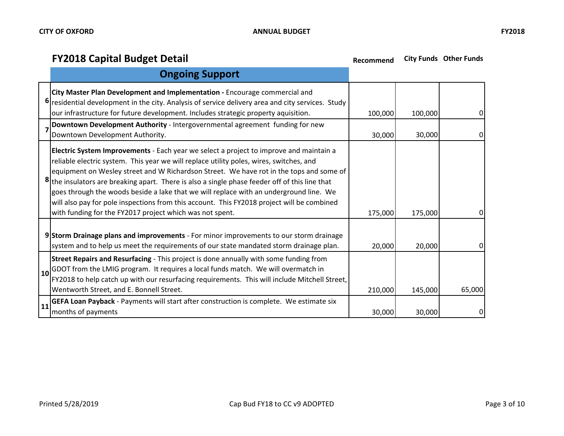|    | <b>Ongoing Support</b>                                                                                                                                                                                                                                                                                                                                                                                                                                                                                                                                                                                                             |         |         |          |
|----|------------------------------------------------------------------------------------------------------------------------------------------------------------------------------------------------------------------------------------------------------------------------------------------------------------------------------------------------------------------------------------------------------------------------------------------------------------------------------------------------------------------------------------------------------------------------------------------------------------------------------------|---------|---------|----------|
|    | City Master Plan Development and Implementation - Encourage commercial and<br>6 residential development in the city. Analysis of service delivery area and city services. Study<br>our infrastructure for future development. Includes strategic property aquisition.                                                                                                                                                                                                                                                                                                                                                              | 100,000 | 100,000 | 0        |
|    | Downtown Development Authority - Intergovernmental agreement funding for new<br>Downtown Development Authority.                                                                                                                                                                                                                                                                                                                                                                                                                                                                                                                    | 30,000  | 30,000  | 0        |
|    | Electric System Improvements - Each year we select a project to improve and maintain a<br>reliable electric system. This year we will replace utility poles, wires, switches, and<br>equipment on Wesley street and W Richardson Street. We have rot in the tops and some of<br>8 the insulators are breaking apart. There is also a single phase feeder off of this line that<br>goes through the woods beside a lake that we will replace with an underground line. We<br>will also pay for pole inspections from this account. This FY2018 project will be combined<br>with funding for the FY2017 project which was not spent. | 175,000 | 175,000 | $\Omega$ |
|    | 9 Storm Drainage plans and improvements - For minor improvements to our storm drainage<br>system and to help us meet the requirements of our state mandated storm drainage plan.                                                                                                                                                                                                                                                                                                                                                                                                                                                   | 20,000  | 20,000  | 0        |
|    | Street Repairs and Resurfacing - This project is done annually with some funding from<br>$\vert$ 10 GDOT from the LMIG program. It requires a local funds match. We will overmatch in<br>FY2018 to help catch up with our resurfacing requirements. This will include Mitchell Street,<br>Wentworth Street, and E. Bonnell Street.                                                                                                                                                                                                                                                                                                 | 210,000 | 145,000 | 65,000   |
| 11 | <b>GEFA Loan Payback</b> - Payments will start after construction is complete. We estimate six<br>months of payments                                                                                                                                                                                                                                                                                                                                                                                                                                                                                                               | 30,000  | 30,000  |          |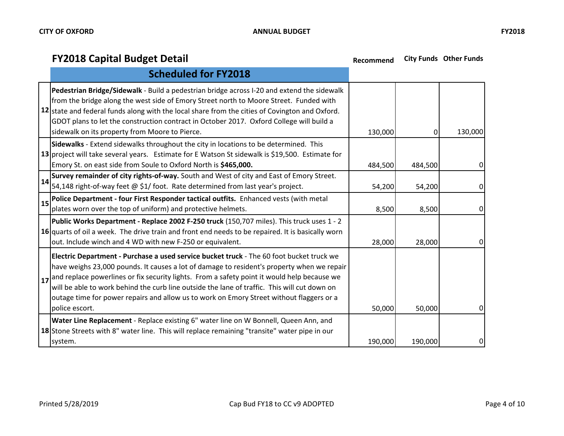|    | <b>Scheduled for FY2018</b>                                                                                                                                                                                                                                                                                                                                                                                                                                                                                               |         |         |          |
|----|---------------------------------------------------------------------------------------------------------------------------------------------------------------------------------------------------------------------------------------------------------------------------------------------------------------------------------------------------------------------------------------------------------------------------------------------------------------------------------------------------------------------------|---------|---------|----------|
|    | Pedestrian Bridge/Sidewalk - Build a pedestrian bridge across I-20 and extend the sidewalk<br>from the bridge along the west side of Emory Street north to Moore Street. Funded with<br>12 state and federal funds along with the local share from the cities of Covington and Oxford.<br>GDOT plans to let the construction contract in October 2017. Oxford College will build a<br>sidewalk on its property from Moore to Pierce.                                                                                      | 130,000 | 0       | 130,000  |
|    | Sidewalks - Extend sidewalks throughout the city in locations to be determined. This<br>13 project will take several years. Estimate for E Watson St sidewalk is \$19,500. Estimate for<br>Emory St. on east side from Soule to Oxford North is \$465,000.                                                                                                                                                                                                                                                                | 484,500 | 484,500 | $\Omega$ |
| 14 | Survey remainder of city rights-of-way. South and West of city and East of Emory Street.<br>54,148 right-of-way feet @ \$1/ foot. Rate determined from last year's project.                                                                                                                                                                                                                                                                                                                                               | 54,200  | 54,200  | $\Omega$ |
| 15 | Police Department - four First Responder tactical outfits. Enhanced vests (with metal<br>plates worn over the top of uniform) and protective helmets.                                                                                                                                                                                                                                                                                                                                                                     | 8,500   | 8,500   | 0        |
|    | Public Works Department - Replace 2002 F-250 truck (150,707 miles). This truck uses 1 - 2<br>16 quarts of oil a week. The drive train and front end needs to be repaired. It is basically worn<br>out. Include winch and 4 WD with new F-250 or equivalent.                                                                                                                                                                                                                                                               | 28,000  | 28,000  | 0        |
|    | Electric Department - Purchase a used service bucket truck - The 60 foot bucket truck we<br>have weighs 23,000 pounds. It causes a lot of damage to resident's property when we repair<br>$\vert$ <sub>17</sub> and replace powerlines or fix security lights. From a safety point it would help because we<br>will be able to work behind the curb line outside the lane of traffic. This will cut down on<br>outage time for power repairs and allow us to work on Emory Street without flaggers or a<br>police escort. | 50,000  | 50,000  | 0        |
|    | Water Line Replacement - Replace existing 6" water line on W Bonnell, Queen Ann, and<br>18 Stone Streets with 8" water line. This will replace remaining "transite" water pipe in our<br>system.                                                                                                                                                                                                                                                                                                                          | 190,000 | 190,000 | 0        |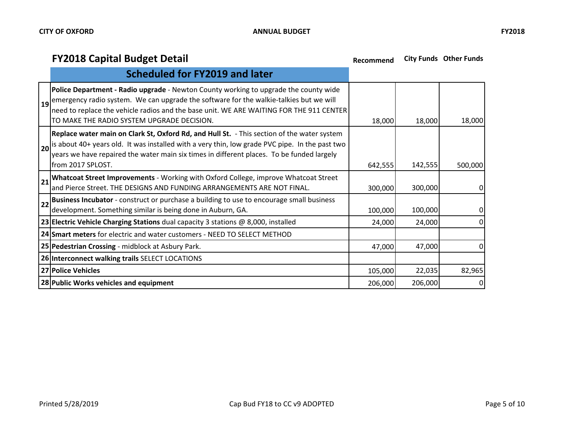| <b>Scheduled for FY2019 and later</b>                                                                                                                                                                                                                                                                                              |         |         |         |
|------------------------------------------------------------------------------------------------------------------------------------------------------------------------------------------------------------------------------------------------------------------------------------------------------------------------------------|---------|---------|---------|
| <b>Police Department - Radio upgrade -</b> Newton County working to upgrade the county wide<br>and emergency radio system. We can upgrade the software for the walkie-talkies but we will<br>need to replace the vehicle radios and the base unit. WE ARE WAITING FOR THE 911 CENTER<br>TO MAKE THE RADIO SYSTEM UPGRADE DECISION. | 18,000  | 18,000  | 18,000  |
| Replace water main on Clark St, Oxford Rd, and Hull St. - This section of the water system<br>$ 20 $ is about 40+ years old. It was installed with a very thin, low grade PVC pipe. In the past two<br>years we have repaired the water main six times in different places. To be funded largely<br>from 2017 SPLOST.              | 642,555 | 142,555 | 500,000 |
| 21 Whatcoat Street Improvements - Working with Oxford College, improve Whatcoat Street<br>and Pierce Street. THE DESIGNS AND FUNDING ARRANGEMENTS ARE NOT FINAL.                                                                                                                                                                   | 300,000 | 300,000 | 0       |
| 22 Business Incubator - construct or purchase a building to use to encourage small business<br>development. Something similar is being done in Auburn, GA.                                                                                                                                                                         | 100,000 | 100,000 | 0       |
| 23 Electric Vehicle Charging Stations dual capacity 3 stations $\omega$ 8,000, installed                                                                                                                                                                                                                                           | 24,000  | 24,000  | 0       |
| 24 Smart meters for electric and water customers - NEED TO SELECT METHOD                                                                                                                                                                                                                                                           |         |         |         |
| 25 Pedestrian Crossing - midblock at Asbury Park.                                                                                                                                                                                                                                                                                  |         | 47,000  | 0       |
| 26 Interconnect walking trails SELECT LOCATIONS                                                                                                                                                                                                                                                                                    |         |         |         |
| 27 Police Vehicles                                                                                                                                                                                                                                                                                                                 | 105,000 | 22,035  | 82,965  |
| 28 Public Works vehicles and equipment                                                                                                                                                                                                                                                                                             | 206,000 | 206,000 | 0       |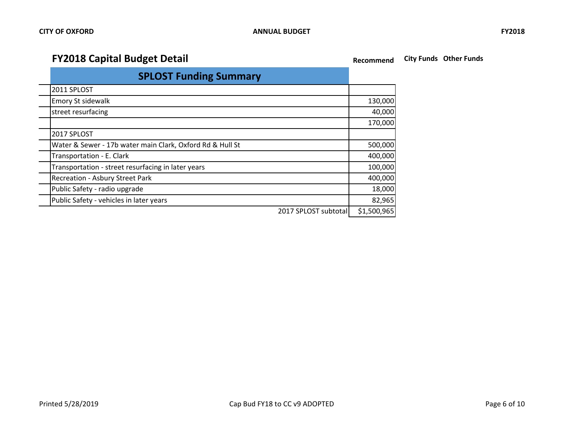| <b>SPLOST Funding Summary</b>                             |             |
|-----------------------------------------------------------|-------------|
| 2011 SPLOST                                               |             |
| <b>Emory St sidewalk</b>                                  | 130,000     |
| street resurfacing                                        | 40,000      |
|                                                           | 170,000     |
| 2017 SPLOST                                               |             |
| Water & Sewer - 17b water main Clark, Oxford Rd & Hull St | 500,000     |
| Transportation - E. Clark                                 | 400,000     |
| Transportation - street resurfacing in later years        | 100,000     |
| <b>Recreation - Asbury Street Park</b>                    | 400,000     |
| Public Safety - radio upgrade                             | 18,000      |
| Public Safety - vehicles in later years                   | 82,965      |
| 2017 SPLOST subtotal                                      | \$1,500,965 |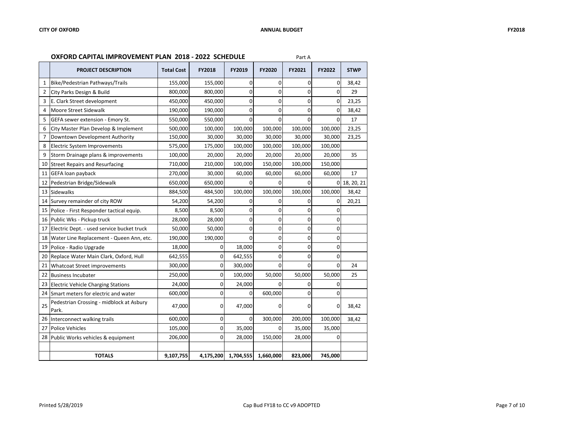#### **OXFORD CAPITAL IMPROVEMENT PLAN 2018 - 2022 SCHEDULE** Part A

|                | <b>PROJECT DESCRIPTION</b>                        | <b>Total Cost</b> | <b>FY2018</b> | FY2019         | <b>FY2020</b>  | FY2021      | <b>FY2022</b> | <b>STWP</b> |
|----------------|---------------------------------------------------|-------------------|---------------|----------------|----------------|-------------|---------------|-------------|
| $\mathbf{1}$   | Bike/Pedestrian Pathways/Trails                   | 155,000           | 155,000       | 0              | 0              | $\Omega$    | 0             | 38,42       |
| $\overline{2}$ | City Parks Design & Build                         | 800,000           | 800,000       | 0              | 0              | $\Omega$    | $\Omega$      | 29          |
| 3              | E. Clark Street development                       | 450,000           | 450,000       | 0              | 0              | $\mathbf 0$ | 0             | 23,25       |
| $\overline{a}$ | Moore Street Sidewalk                             | 190,000           | 190,000       | 0              | 0              | $\Omega$    | 0             | 38,42       |
| 5              | GEFA sewer extension - Emory St.                  | 550,000           | 550,000       | $\Omega$       | $\overline{0}$ | $\Omega$    | $\Omega$      | 17          |
| 6              | City Master Plan Develop & Implement              | 500,000           | 100,000       | 100,000        | 100,000        | 100,000     | 100,000       | 23,25       |
| 7              | Downtown Development Authority                    | 150,000           | 30,000        | 30,000         | 30,000         | 30,000      | 30,000        | 23,25       |
| 8              | Electric System Improvements                      | 575,000           | 175,000       | 100,000        | 100,000        | 100,000     | 100,000       |             |
| 9              | Storm Drainage plans & improvements               | 100,000           | 20,000        | 20,000         | 20,000         | 20,000      | 20,000        | 35          |
| 10             | Street Repairs and Resurfacing                    | 710,000           | 210,000       | 100,000        | 150,000        | 100,000     | 150,000       |             |
| 11             | <b>GEFA loan payback</b>                          | 270,000           | 30,000        | 60,000         | 60,000         | 60,000      | 60,000        | 17          |
| 12             | Pedestrian Bridge/Sidewalk                        | 650,000           | 650,000       | 0              | 0              | $\Omega$    | $\Omega$      | 18, 20, 21  |
| 13             | <b>Sidewalks</b>                                  | 884,500           | 484,500       | 100,000        | 100,000        | 100,000     | 100,000       | 38,42       |
|                | 14 Survey remainder of city ROW                   | 54,200            | 54,200        | $\Omega$       | 0              | $\Omega$    | $\Omega$      | 20,21       |
| 15             | Police - First Responder tactical equip.          | 8,500             | 8,500         | 0              | 0              | $\Omega$    | $\Omega$      |             |
|                | 16 Public Wks - Pickup truck                      | 28,000            | 28,000        | 0              | 0              | $\mathbf 0$ | 0             |             |
| 17             | Electric Dept. - used service bucket truck        | 50,000            | 50,000        | $\mathbf 0$    | $\overline{0}$ | $\Omega$    | $\Omega$      |             |
| 18             | Water Line Replacement - Queen Ann, etc.          | 190,000           | 190,000       | $\overline{0}$ | 0              | $\mathbf 0$ | $\Omega$      |             |
| 19             | Police - Radio Upgrade                            | 18,000            | $\Omega$      | 18,000         | 0              | $\Omega$    | $\mathbf 0$   |             |
| 20             | Replace Water Main Clark, Oxford, Hull            | 642,555           | 0             | 642,555        | 0              | $\mathbf 0$ | 0             |             |
| 21             | <b>Whatcoat Street improvements</b>               | 300,000           | 0             | 300,000        | $\Omega$       | $\Omega$    | $\Omega$      | 24          |
| 22             | <b>Business Incubater</b>                         | 250,000           | 0             | 100,000        | 50,000         | 50,000      | 50,000        | 25          |
| 23             | <b>Electric Vehicle Charging Stations</b>         | 24,000            | 0             | 24,000         | $\Omega$       | $\mathbf 0$ | 0             |             |
|                | 24 Smart meters for electric and water            | 600,000           | 0             | 0              | 600,000        | $\Omega$    | $\Omega$      |             |
| 25             | Pedestrian Crossing - midblock at Asbury<br>Park. | 47,000            | 0             | 47,000         | 0              | 0           | 0             | 38,42       |
|                | 26 Interconnect walking trails                    | 600,000           | 0             | 0              | 300,000        | 200,000     | 100,000       | 38,42       |
| 27             | <b>Police Vehicles</b>                            | 105,000           | $\Omega$      | 35,000         | $\Omega$       | 35,000      | 35,000        |             |
|                | 28 Public Works vehicles & equipment              | 206,000           | 0             | 28,000         | 150,000        | 28,000      | $\Omega$      |             |
|                |                                                   |                   |               |                |                |             |               |             |
|                | <b>TOTALS</b>                                     | 9,107,755         | 4,175,200     | 1,704,555      | 1,660,000      | 823,000     | 745,000       |             |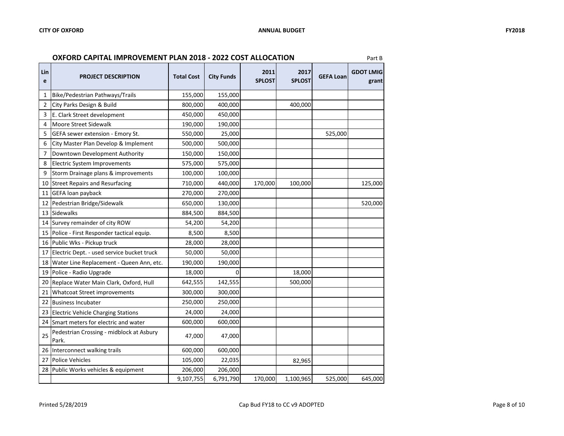| Lin<br>e | <b>PROJECT DESCRIPTION</b>                        | <b>Total Cost</b> | <b>City Funds</b> | 2011<br><b>SPLOST</b> | 2017<br><b>SPLOST</b> | <b>GEFA Loan</b> | <b>GDOT LMIG</b><br>grant |
|----------|---------------------------------------------------|-------------------|-------------------|-----------------------|-----------------------|------------------|---------------------------|
| 1        | Bike/Pedestrian Pathways/Trails                   | 155,000           | 155,000           |                       |                       |                  |                           |
| 2        | City Parks Design & Build                         | 800,000           | 400,000           |                       | 400,000               |                  |                           |
| 3        | E. Clark Street development                       | 450,000           | 450,000           |                       |                       |                  |                           |
| 4        | <b>Moore Street Sidewalk</b>                      | 190,000           | 190,000           |                       |                       |                  |                           |
| 5        | GEFA sewer extension - Emory St.                  | 550,000           | 25,000            |                       |                       | 525,000          |                           |
| 6        | City Master Plan Develop & Implement              | 500,000           | 500,000           |                       |                       |                  |                           |
| 7        | Downtown Development Authority                    | 150,000           | 150,000           |                       |                       |                  |                           |
| 8        | Electric System Improvements                      | 575,000           | 575,000           |                       |                       |                  |                           |
| 9        | Storm Drainage plans & improvements               | 100,000           | 100,000           |                       |                       |                  |                           |
| 10       | <b>Street Repairs and Resurfacing</b>             | 710,000           | 440,000           | 170,000               | 100,000               |                  | 125,000                   |
| 11       | GEFA loan payback                                 | 270,000           | 270,000           |                       |                       |                  |                           |
| 12       | Pedestrian Bridge/Sidewalk                        | 650,000           | 130,000           |                       |                       |                  | 520,000                   |
| 13       | <b>Sidewalks</b>                                  | 884,500           | 884,500           |                       |                       |                  |                           |
| 14       | Survey remainder of city ROW                      | 54,200            | 54,200            |                       |                       |                  |                           |
| 15       | Police - First Responder tactical equip.          | 8,500             | 8,500             |                       |                       |                  |                           |
| 16       | Public Wks - Pickup truck                         | 28,000            | 28,000            |                       |                       |                  |                           |
| 17       | Electric Dept. - used service bucket truck        | 50,000            | 50,000            |                       |                       |                  |                           |
| 18       | Water Line Replacement - Queen Ann, etc.          | 190,000           | 190,000           |                       |                       |                  |                           |
| 19       | Police - Radio Upgrade                            | 18,000            | 0                 |                       | 18,000                |                  |                           |
| 20       | Replace Water Main Clark, Oxford, Hull            | 642,555           | 142,555           |                       | 500,000               |                  |                           |
| 21       | Whatcoat Street improvements                      | 300,000           | 300,000           |                       |                       |                  |                           |
| 22       | <b>Business Incubater</b>                         | 250,000           | 250,000           |                       |                       |                  |                           |
| 23       | <b>Electric Vehicle Charging Stations</b>         | 24,000            | 24,000            |                       |                       |                  |                           |
| 24       | Smart meters for electric and water               | 600,000           | 600,000           |                       |                       |                  |                           |
| 25       | Pedestrian Crossing - midblock at Asbury<br>Park. | 47,000            | 47,000            |                       |                       |                  |                           |
| 26       | Interconnect walking trails                       | 600,000           | 600,000           |                       |                       |                  |                           |
| 27       | <b>Police Vehicles</b>                            | 105,000           | 22,035            |                       | 82,965                |                  |                           |
| 28       | Public Works vehicles & equipment                 | 206,000           | 206,000           |                       |                       |                  |                           |
|          |                                                   | 9,107,755         | 6,791,790         | 170,000               | 1,100,965             | 525,000          | 645,000                   |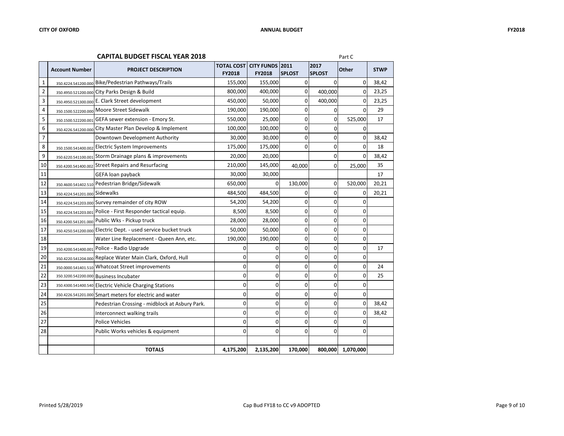#### **CAPITAL BUDGET FISCAL YEAR 2018** Part C

|                | <b>Account Number</b>         | <b>PROJECT DESCRIPTION</b>                                     | <b>TOTAL COST CITY FUNDS 2011</b><br><b>FY2018</b> | <b>FY2018</b> | <b>SPLOST</b> | 2017<br><b>SPLOST</b> | Other       | <b>STWP</b> |
|----------------|-------------------------------|----------------------------------------------------------------|----------------------------------------------------|---------------|---------------|-----------------------|-------------|-------------|
| 1              |                               | 350.4224.541200.000 Bike/Pedestrian Pathways/Trails            | 155,000                                            | 155,000       | $\Omega$      | $\Omega$              | 0           | 38,42       |
| $\overline{2}$ |                               | 350.4950.521200.000 City Parks Design & Build                  | 800,000                                            | 400,000       | 0             | 400,000               | $\Omega$    | 23,25       |
| 3              |                               | 350.4950.521300.000 E. Clark Street development                | 450,000                                            | 50,000        | $\mathbf 0$   | 400,000               | $\Omega$    | 23,25       |
| 4              |                               | 350.1500.522200.000 Moore Street Sidewalk                      | 190,000                                            | 190,000       | $\mathbf 0$   | $\overline{0}$        | $\Omega$    | 29          |
| 5              |                               | 350.1500.522200.001 GEFA sewer extension - Emory St.           | 550,000                                            | 25,000        | $\mathbf 0$   | $\mathbf 0$           | 525,000     | 17          |
| 6              |                               | 350.4226.541200.000 City Master Plan Develop & Implement       | 100,000                                            | 100,000       | $\Omega$      | $\Omega$              | $\Omega$    |             |
| 7              |                               | Downtown Development Authority                                 | 30,000                                             | 30,000        | 0             | $\overline{0}$        | $\mathbf 0$ | 38,42       |
| 8              |                               | 350.1500.541400.002 Electric System Improvements               | 175,000                                            | 175,000       | $\mathbf 0$   | $\overline{0}$        | 0           | 18          |
| 9              |                               | 350.6220.541100.001 Storm Drainage plans & improvements        | 20,000                                             | 20,000        |               | $\Omega$              | $\Omega$    | 38,42       |
| 10             |                               | 350.4200.541400.002 Street Repairs and Resurfacing             | 210,000                                            | 145,000       | 40,000        | $\mathbf 0$           | 25,000      | 35          |
| 11             |                               | GEFA loan payback                                              | 30,000                                             | 30,000        |               |                       |             | 17          |
| 12             |                               | 350.4600.541402.510 Pedestrian Bridge/Sidewalk                 | 650,000                                            | $\Omega$      | 130,000       | $\mathbf 0$           | 520,000     | 20,21       |
| 13             | 350.4224.541201.000 Sidewalks |                                                                | 484,500                                            | 484,500       | 0             | $\Omega$              | 0           | 20,21       |
| 14             |                               | 350.4224.541203.000 Survey remainder of city ROW               | 54,200                                             | 54,200        | $\mathbf 0$   | $\overline{0}$        | 0           |             |
| 15             |                               | 350.4224.541203.001 Police - First Responder tactical equip.   | 8,500                                              | 8,500         | 0             | $\overline{0}$        | 0           |             |
| 16             |                               | 350.4200.541201.000 Public Wks - Pickup truck                  | 28,000                                             | 28,000        | 0             | $\Omega$              | 0           |             |
| 17             |                               | 350.4250.541200.000 Electric Dept. - used service bucket truck | 50,000                                             | 50,000        | $\Omega$      | $\overline{0}$        | 0           |             |
| 18             |                               | Water Line Replacement - Queen Ann, etc.                       | 190,000                                            | 190,000       | $\mathbf 0$   | $\overline{0}$        | 0           |             |
| 19             | 350.4200.541400.001           | Police - Radio Upgrade                                         | 0                                                  | 0             | $\mathbf 0$   | $\Omega$              | 0           | 17          |
| 20             |                               | 350.4220.541204.000 Replace Water Main Clark, Oxford, Hull     | 0                                                  | 0             | $\Omega$      | $\overline{0}$        | 0           |             |
| 21             |                               | 350.0000.541401.510 Whatcoat Street improvements               | 0                                                  | $\mathbf 0$   | $\mathbf 0$   | $\overline{0}$        | 0           | 24          |
| 22             |                               | 350.3200.542200.000 Business Incubater                         | 0                                                  | $\Omega$      | $\Omega$      | $\Omega$              | $\Omega$    | 25          |
| 23             |                               | 350.4300.541400.540 Electric Vehicle Charging Stations         | 0                                                  | 0             | 0             | $\overline{0}$        | 0           |             |
| 24             |                               | 350.4226.541201.000 Smart meters for electric and water        | 0                                                  | 0             | $\Omega$      | $\overline{0}$        | $\mathbf 0$ |             |
| 25             |                               | Pedestrian Crossing - midblock at Asbury Park.                 | 0                                                  | 0             | $\Omega$      | $\Omega$              | 0           | 38,42       |
| 26             |                               | Interconnect walking trails                                    | 0                                                  | 0             | $\mathbf 0$   | $\overline{0}$        | 0           | 38,42       |
| 27             |                               | Police Vehicles                                                | 0                                                  | $\Omega$      | $\Omega$      | $\Omega$              | $\Omega$    |             |
| 28             |                               | Public Works vehicles & equipment                              | 0                                                  | 0             | $\Omega$      | 0                     | 0           |             |
|                |                               |                                                                |                                                    |               |               |                       |             |             |
|                |                               | <b>TOTALS</b>                                                  | 4,175,200                                          | 2,135,200     | 170,000       | 800,000               | 1,070,000   |             |